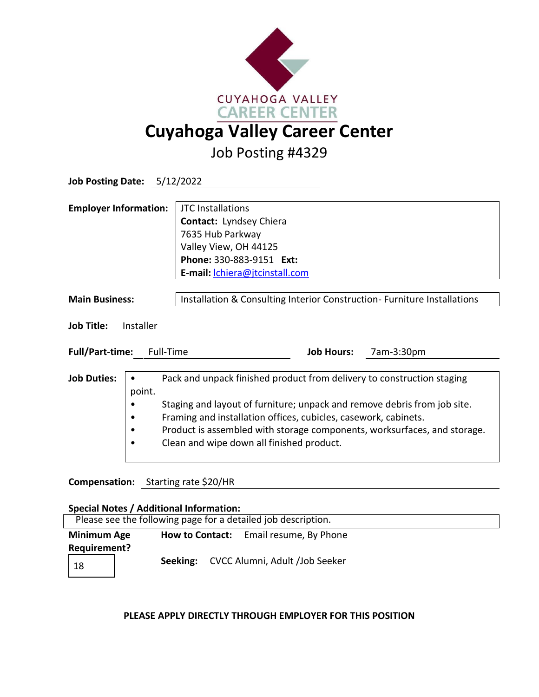

Job Posting #4329

| Job Posting Date: 5/12/2022                      |                                                                         |                                                                                                                                                                                                                                                                                                                                                |            |  |
|--------------------------------------------------|-------------------------------------------------------------------------|------------------------------------------------------------------------------------------------------------------------------------------------------------------------------------------------------------------------------------------------------------------------------------------------------------------------------------------------|------------|--|
| <b>Employer Information:</b>                     |                                                                         | <b>JTC</b> Installations<br>Contact: Lyndsey Chiera<br>7635 Hub Parkway<br>Valley View, OH 44125<br>Phone: 330-883-9151 Ext:                                                                                                                                                                                                                   |            |  |
|                                                  |                                                                         | E-mail: <i>chiera@jtcinstall.com</i>                                                                                                                                                                                                                                                                                                           |            |  |
| <b>Main Business:</b><br>Job Title:<br>Installer |                                                                         | Installation & Consulting Interior Construction-Furniture Installations                                                                                                                                                                                                                                                                        |            |  |
| <b>Full/Part-time:</b>                           | Full-Time                                                               | <b>Job Hours:</b>                                                                                                                                                                                                                                                                                                                              | 7am-3:30pm |  |
| <b>Job Duties:</b>                               | point.<br>$C_1$ , $C_2$ , $C_3$ , $C_4$ , $C_5$ , $C_6$ , $C_7$ , $C_8$ | Pack and unpack finished product from delivery to construction staging<br>Staging and layout of furniture; unpack and remove debris from job site.<br>Framing and installation offices, cubicles, casework, cabinets.<br>Product is assembled with storage components, worksurfaces, and storage.<br>Clean and wipe down all finished product. |            |  |

## **Compensation:** Starting rate \$20/HR

| <b>Special Notes / Additional Information:</b>                |  |                                         |  |  |  |  |
|---------------------------------------------------------------|--|-----------------------------------------|--|--|--|--|
| Please see the following page for a detailed job description. |  |                                         |  |  |  |  |
| <b>Minimum Age</b>                                            |  | How to Contact: Email resume, By Phone  |  |  |  |  |
| Requirement?                                                  |  |                                         |  |  |  |  |
| 18                                                            |  | Seeking: CVCC Alumni, Adult /Job Seeker |  |  |  |  |

## **PLEASE APPLY DIRECTLY THROUGH EMPLOYER FOR THIS POSITION**